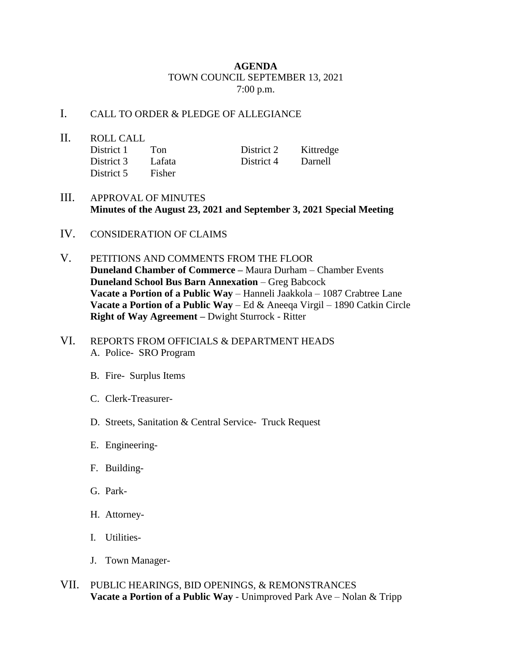## **AGENDA** TOWN COUNCIL SEPTEMBER 13, 2021 7:00 p.m.

## I. CALL TO ORDER & PLEDGE OF ALLEGIANCE

- II. ROLL CALL District 1 Ton District 2 Kittredge District 3 Lafata District 4 Darnell District 5 Fisher
- III. APPROVAL OF MINUTES **Minutes of the August 23, 2021 and September 3, 2021 Special Meeting**
- IV. CONSIDERATION OF CLAIMS
- V. PETITIONS AND COMMENTS FROM THE FLOOR **Duneland Chamber of Commerce –** Maura Durham – Chamber Events **Duneland School Bus Barn Annexation** – Greg Babcock **Vacate a Portion of a Public Way** – Hanneli Jaakkola – 1087 Crabtree Lane **Vacate a Portion of a Public Way** – Ed & Aneeqa Virgil – 1890 Catkin Circle **Right of Way Agreement –** Dwight Sturrock - Ritter
- VI. REPORTS FROM OFFICIALS & DEPARTMENT HEADS A. Police- SRO Program
	- B. Fire- Surplus Items
	- C. Clerk-Treasurer-
	- D. Streets, Sanitation & Central Service- Truck Request
	- E. Engineering-
	- F. Building-
	- G. Park-
	- H. Attorney-
	- I. Utilities-
	- J. Town Manager-
- VII. PUBLIC HEARINGS, BID OPENINGS, & REMONSTRANCES **Vacate a Portion of a Public Way** - Unimproved Park Ave – Nolan & Tripp